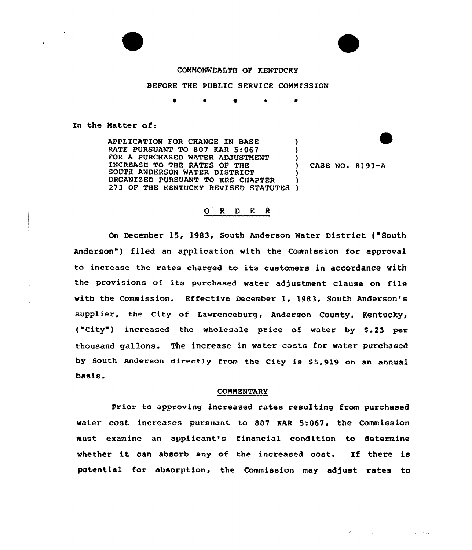

 $\alpha$  ,  $\beta$  ,  $\alpha$  ,  $\beta$  ,  $\alpha$  ,  $\beta$ 



## COMMONWEALTH OF KENTUCKY

# BEFORE THE PUBLIC SERVICE COMMISSION

\* \* <sup>4</sup>

In the Matter of:

APPLICATION FOR CHANGE IN BASE RATE PURSUANT TO 807 KAR 5:067 FOR A PURCHASED WATER ADJUSTMENT INCREASE TO THE RATES OF THE SOUTH ANDERSON WATER DISTRICT ORGANIZED PURSUANT TO KRS CHAPTER ORGANIZED PURSUANT TO KRS CHAPTER )<br>273 OF THE KENTUCKY REVISED STATUTES ) ) ) ) ) )

) CASE NO. 8191-A

### $O$  R D E R

On December 15> 1983, South Anderson Water District ("South Anderson") filed an application with the Commission for approval to increase the xates charged to its customers in accordance with the provisions of its purchased water adjustment clause on file with the Commission. Effective December 1, 1983, South Anderson's supplier, the City of Lawrenceburg, Anderson County, Kentucky, ("City") increased the wholesale price of water by \$.23 per thousand gallons. The increase in water costs for water puxchased by South Anderson directly from the City is \$5,919 on an annual basis.

### COMMENTARY

Prior to approving increased rates resulting from purchased water cost incxeases pursuant to 807 KAR 5:067, the Commission must examine an applicant's financial condition to determine whether it can absorb any of the increased cost. If there is potential for absorption, the Commission may adjust rates to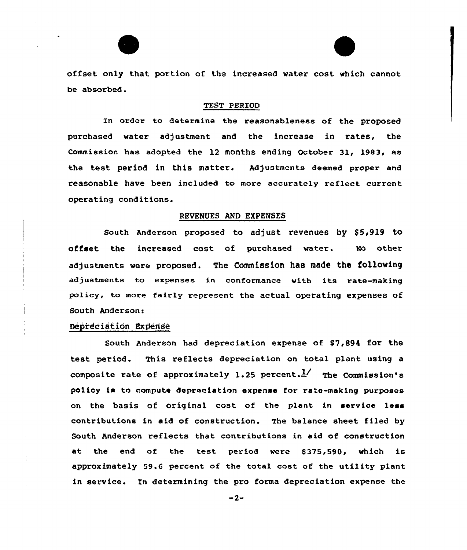offset only that portion of the increased water cost which cannot be absorbed.

### TEST PERIOD

In order to determine the reasonableness of the proposed purchased water adjustment and the increase in rates, the Commission has adopted the 12 months ending October 31, l983< as the test period in this matter. Adjustments deemed proper and reasonable have been included to more accurately reflect current operating conditions.

### REVENUES AND EXPENSES

South Anderson proposed to adjust revenues by \$5,919 to offset the increased cost of purchased water. No other adjustments were proposed. The Commission has made the following adjustments to expenses in conformance with its rate-making policy, to more fairly represent the actual operating expenses of South Anderson:

# Depreciation Expense

South Anderson had depreciation expense of \$7,894 for the test period. This reflects depreciation on total plant using a composite rate of approximately 1.25 percent.  $\frac{1}{1}$  The Commission's policy is to compute depreciation expense for ra'e-making purposes on the basis of original cost of the plant in service less contributions in aid of construction. The balance sheet filed by South Anderson reflects that contributions in aid of construction at the end of the test period were \$375,590, which is approximately 59.6 percent of the total cost of the utility plant in service. In determining the pro forma depreciation expense the

 $-2-$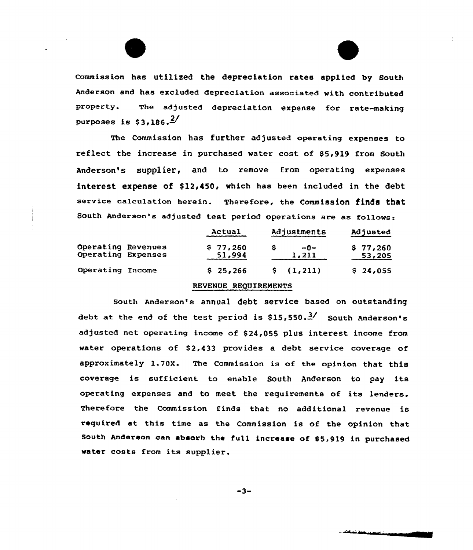

Commission has utilized the depreciation rates applied by South Anderson and has excluded depreciation associated with contributed property. The adjusted depreciation expense for rate-making purposes is  $$3.186.$ <sup>2/</sup>

The Commission has further adjusted operating expenses to reflect the increase in purchased water cost of \$5,919 from South Anderson's supplier, and to remove from operating expenses interest expense of \$12,450, which has been included in the debt service calculation herein. Therefore, the Commission finds that South Anderson's adjusted test period operations are as fo11ows:

|                                          | Actual             | Adjustments    | Adjusted           |
|------------------------------------------|--------------------|----------------|--------------------|
| Operating Revenues<br>Operating Expenses | \$77,260<br>51,994 | $-0-$<br>1,211 | \$77,260<br>53,205 |
| Operating Income                         | \$25,266           | \$(1,211)      | \$24,055           |

# REVENUE REQUIREMENTS

south Anderson's annual debt service based on cutstanding debt at the end of the test period is  $$15,550.^{2/}$  South Anderson's adjusted net operating income of \$24,055 plus interest income from water operations of \$2,433 provides a debt service coverage of approximately 1.70X. The Commission is of the opinion that this coverage is sufficient to enable South Anderson to pay its operating expenses and to meet the requirements of its lenders. Therefore the Commission finds that no additional revenue is required at this time as the Commission is of the opinion that South Anderson can absorb the full increase of \$5,919 in purchased water costs from its supplier.

 $-3-$ 

المستقفية المتوجد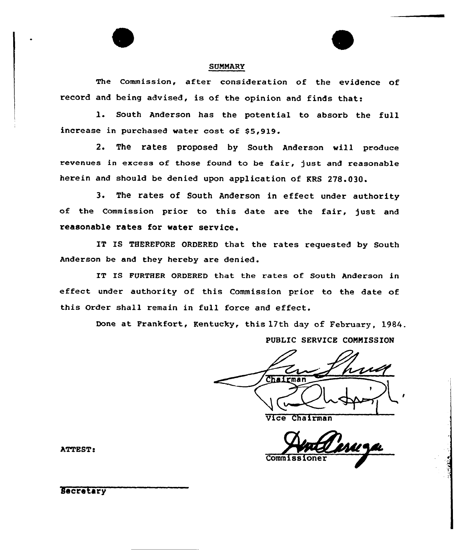#### **SUMMARY**

The Commission, after consideration of the evidence of xecoxd and being advised, is of the opinion and finds that:

l. South Anderson has the potential to absorb the full increase in purchased water cost of \$5,919.

2. The rates proposed by South Anderson will produce revenues in excess of those found to be fair, just and reasonable herein and should be denied upon application of KRS 278.030.

3. The rates of South Anderson in effect under authority of the Commission prior to this date are the fair, just and reasonable rates for water service.

IT IS THEREFORE ORDERED that the rates requested by South Anderson be and they hereby are denied.

IT IS FURTHER ORDERED that the rates of South Anderson in effect under authority of this Commission prior to the date of this Order shall remain in full force and effect.

Done at Frankfort, Kentucky, this 17th day of February, 1984.

PUBLIC SERVICE COMMISSION

Chairman

Vice Chairman

Commiss

**ATTEST:** 

**Secretary**